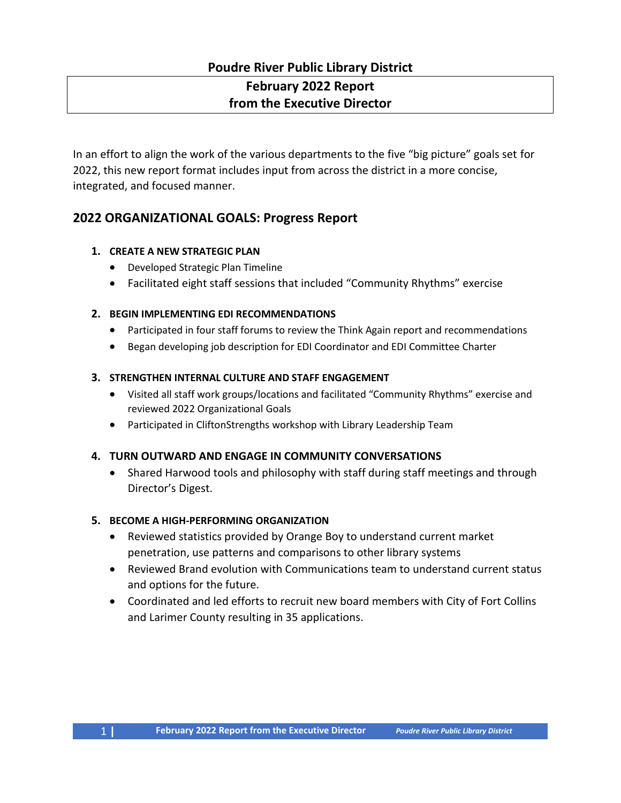# **Poudre River Public Library District February 2022 Report from the Executive Director**

In an effort to align the work of the various departments to the five "big picture" goals set for 2022, this new report format includes input from across the district in a more concise, integrated, and focused manner.

## **2022 ORGANIZATIONAL GOALS: Progress Report**

#### **1. CREATE A NEW STRATEGIC PLAN**

- Developed Strategic Plan Timeline
- Facilitated eight staff sessions that included "Community Rhythms" exercise

#### **2. BEGIN IMPLEMENTING EDI RECOMMENDATIONS**

- Participated in four staff forums to review the Think Again report and recommendations
- Began developing job description for EDI Coordinator and EDI Committee Charter

#### **3. STRENGTHEN INTERNAL CULTURE AND STAFF ENGAGEMENT**

- Visited all staff work groups/locations and facilitated "Community Rhythms" exercise and reviewed 2022 Organizational Goals
- Participated in CliftonStrengths workshop with Library Leadership Team

### **4. TURN OUTWARD AND ENGAGE IN COMMUNITY CONVERSATIONS**

• Shared Harwood tools and philosophy with staff during staff meetings and through Director's Digest.

#### **5. BECOME A HIGH-PERFORMING ORGANIZATION**

- Reviewed statistics provided by Orange Boy to understand current market penetration, use patterns and comparisons to other library systems
- Reviewed Brand evolution with Communications team to understand current status and options for the future.
- Coordinated and led efforts to recruit new board members with City of Fort Collins and Larimer County resulting in 35 applications.